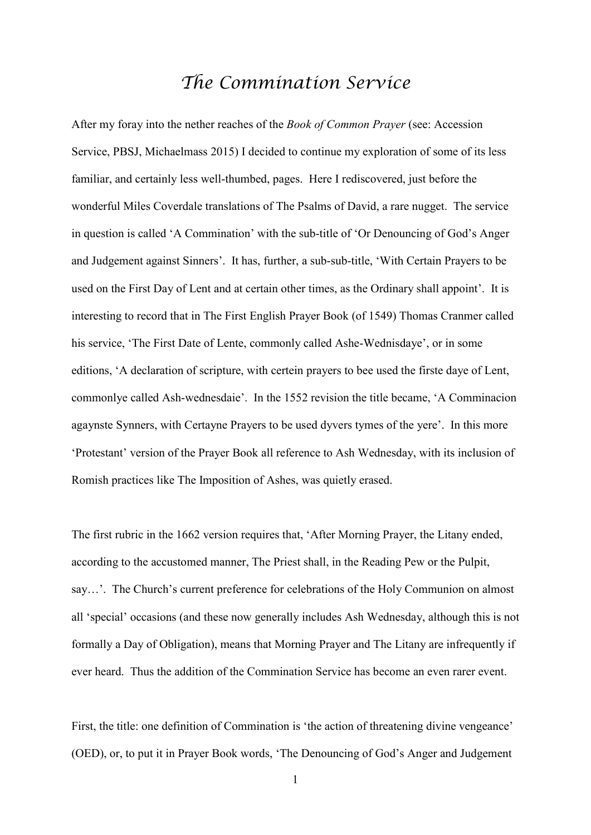## *The Commination Service*

After my foray into the nether reaches of the *Book of Common Prayer* (see: Accession Service, PBSJ, Michaelmass 2015) I decided to continue my exploration of some of its less familiar, and certainly less well-thumbed, pages. Here I rediscovered, just before the wonderful Miles Coverdale translations of The Psalms of David, a rare nugget. The service in question is called 'A Commination' with the sub-title of 'Or Denouncing of God's Anger and Judgement against Sinners'. It has, further, a sub-sub-title, 'With Certain Prayers to be used on the First Day of Lent and at certain other times, as the Ordinary shall appoint'. It is interesting to record that in The First English Prayer Book (of 1549) Thomas Cranmer called his service, 'The First Date of Lente, commonly called Ashe-Wednisdaye', or in some editions, 'A declaration of scripture, with certein prayers to bee used the firste daye of Lent, commonlye called Ash-wednesdaie'. In the 1552 revision the title became, 'A Comminacion agaynste Synners, with Certayne Prayers to be used dyvers tymes of the yere'. In this more 'Protestant' version of the Prayer Book all reference to Ash Wednesday, with its inclusion of Romish practices like The Imposition of Ashes, was quietly erased.

The first rubric in the 1662 version requires that, 'After Morning Prayer, the Litany ended, according to the accustomed manner, The Priest shall, in the Reading Pew or the Pulpit, say…'. The Church's current preference for celebrations of the Holy Communion on almost all 'special' occasions (and these now generally includes Ash Wednesday, although this is not formally a Day of Obligation), means that Morning Prayer and The Litany are infrequently if ever heard. Thus the addition of the Commination Service has become an even rarer event.

First, the title: one definition of Commination is 'the action of threatening divine vengeance' (OED), or, to put it in Prayer Book words, 'The Denouncing of God's Anger and Judgement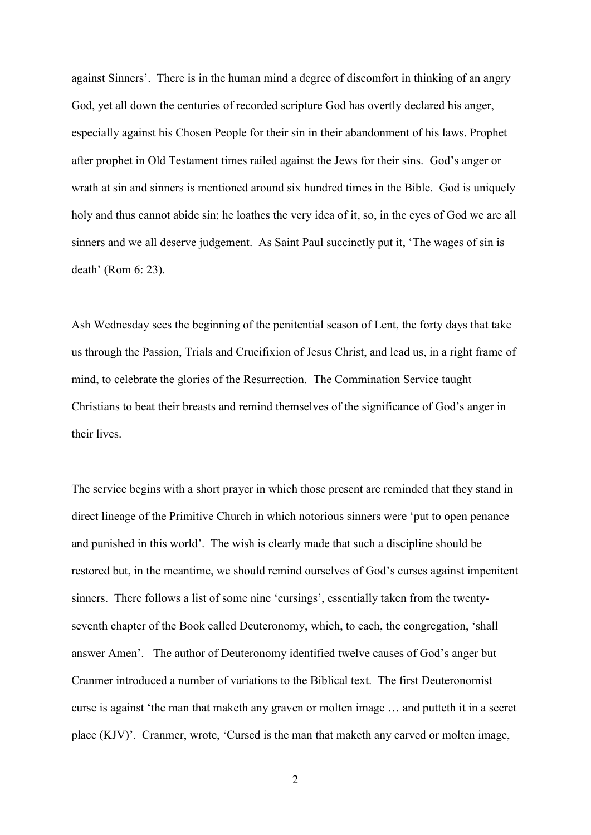against Sinners'. There is in the human mind a degree of discomfort in thinking of an angry God, yet all down the centuries of recorded scripture God has overtly declared his anger, especially against his Chosen People for their sin in their abandonment of his laws. Prophet after prophet in Old Testament times railed against the Jews for their sins. God's anger or wrath at sin and sinners is mentioned around six hundred times in the Bible. God is uniquely holy and thus cannot abide sin; he loathes the very idea of it, so, in the eyes of God we are all sinners and we all deserve judgement. As Saint Paul succinctly put it, 'The wages of sin is death' (Rom 6: 23).

Ash Wednesday sees the beginning of the penitential season of Lent, the forty days that take us through the Passion, Trials and Crucifixion of Jesus Christ, and lead us, in a right frame of mind, to celebrate the glories of the Resurrection. The Commination Service taught Christians to beat their breasts and remind themselves of the significance of God's anger in their lives.

The service begins with a short prayer in which those present are reminded that they stand in direct lineage of the Primitive Church in which notorious sinners were 'put to open penance and punished in this world'. The wish is clearly made that such a discipline should be restored but, in the meantime, we should remind ourselves of God's curses against impenitent sinners. There follows a list of some nine 'cursings', essentially taken from the twentyseventh chapter of the Book called Deuteronomy, which, to each, the congregation, 'shall answer Amen'. The author of Deuteronomy identified twelve causes of God's anger but Cranmer introduced a number of variations to the Biblical text. The first Deuteronomist curse is against 'the man that maketh any graven or molten image … and putteth it in a secret place (KJV)'. Cranmer, wrote, 'Cursed is the man that maketh any carved or molten image,

2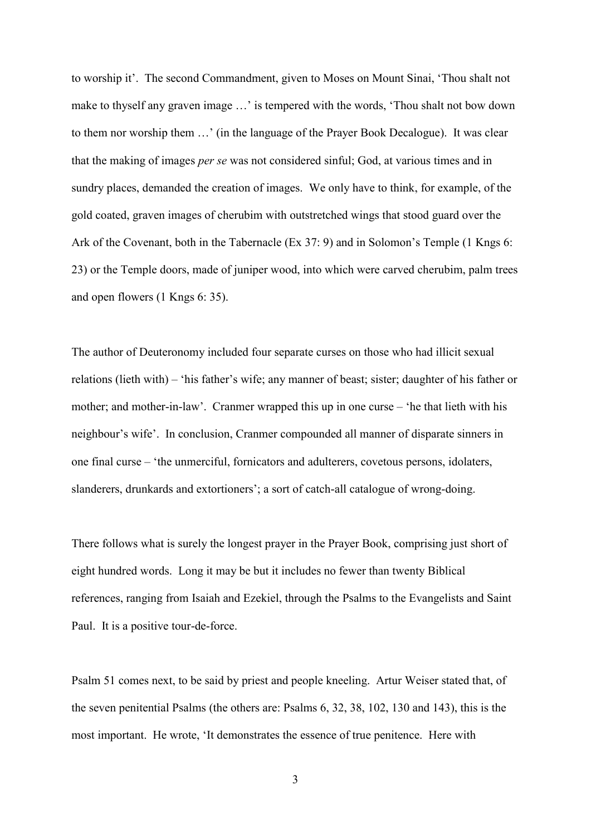to worship it'. The second Commandment, given to Moses on Mount Sinai, 'Thou shalt not make to thyself any graven image …' is tempered with the words, 'Thou shalt not bow down to them nor worship them …' (in the language of the Prayer Book Decalogue). It was clear that the making of images *per se* was not considered sinful; God, at various times and in sundry places, demanded the creation of images. We only have to think, for example, of the gold coated, graven images of cherubim with outstretched wings that stood guard over the Ark of the Covenant, both in the Tabernacle (Ex 37: 9) and in Solomon's Temple (1 Kngs 6: 23) or the Temple doors, made of juniper wood, into which were carved cherubim, palm trees and open flowers (1 Kngs 6: 35).

The author of Deuteronomy included four separate curses on those who had illicit sexual relations (lieth with) – 'his father's wife; any manner of beast; sister; daughter of his father or mother; and mother-in-law'. Cranmer wrapped this up in one curse – 'he that lieth with his neighbour's wife'. In conclusion, Cranmer compounded all manner of disparate sinners in one final curse – 'the unmerciful, fornicators and adulterers, covetous persons, idolaters, slanderers, drunkards and extortioners'; a sort of catch-all catalogue of wrong-doing.

There follows what is surely the longest prayer in the Prayer Book, comprising just short of eight hundred words. Long it may be but it includes no fewer than twenty Biblical references, ranging from Isaiah and Ezekiel, through the Psalms to the Evangelists and Saint Paul. It is a positive tour-de-force.

Psalm 51 comes next, to be said by priest and people kneeling. Artur Weiser stated that, of the seven penitential Psalms (the others are: Psalms 6, 32, 38, 102, 130 and 143), this is the most important. He wrote, 'It demonstrates the essence of true penitence. Here with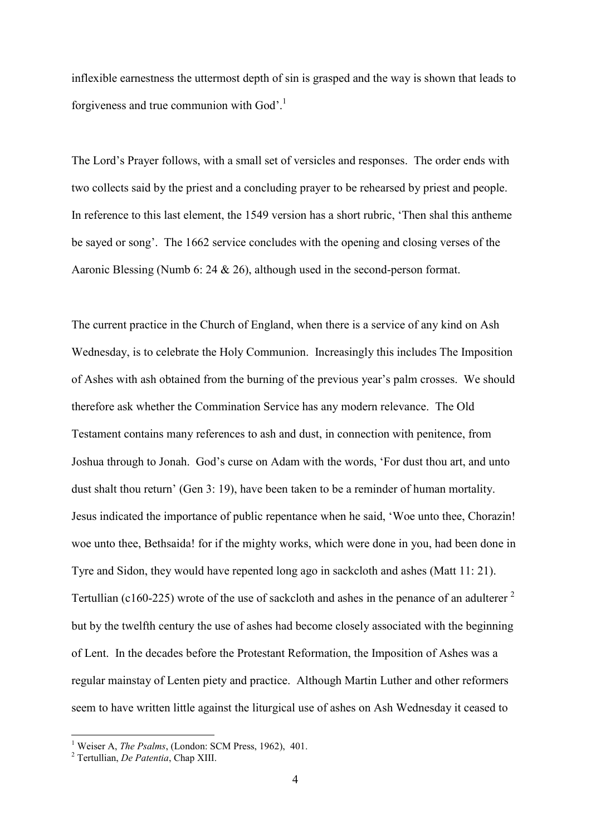inflexible earnestness the uttermost depth of sin is grasped and the way is shown that leads to forgiveness and true communion with God'.<sup>1</sup>

The Lord's Prayer follows, with a small set of versicles and responses. The order ends with two collects said by the priest and a concluding prayer to be rehearsed by priest and people. In reference to this last element, the 1549 version has a short rubric, 'Then shal this antheme be sayed or song'. The 1662 service concludes with the opening and closing verses of the Aaronic Blessing (Numb 6: 24 & 26), although used in the second-person format.

The current practice in the Church of England, when there is a service of any kind on Ash Wednesday, is to celebrate the Holy Communion. Increasingly this includes The Imposition of Ashes with ash obtained from the burning of the previous year's palm crosses. We should therefore ask whether the Commination Service has any modern relevance. The Old Testament contains many references to ash and dust, in connection with penitence, from Joshua through to Jonah. God's curse on Adam with the words, 'For dust thou art, and unto dust shalt thou return' (Gen 3: 19), have been taken to be a reminder of human mortality. Jesus indicated the importance of public repentance when he said, 'Woe unto thee, Chorazin! woe unto thee, Bethsaida! for if the mighty works, which were done in you, had been done in Tyre and Sidon, they would have repented long ago in sackcloth and ashes (Matt 11: 21). Tertullian (c160-225) wrote of the use of sackcloth and ashes in the penance of an adulterer  $2$ but by the twelfth century the use of ashes had become closely associated with the beginning of Lent. In the decades before the Protestant Reformation, the Imposition of Ashes was a regular mainstay of Lenten piety and practice. Although Martin Luther and other reformers seem to have written little against the liturgical use of ashes on Ash Wednesday it ceased to

1

<sup>&</sup>lt;sup>1</sup> Weiser A, *The Psalms*, (London: SCM Press, 1962), 401.

<sup>2</sup> Tertullian, *De Patentia*, Chap XIII.